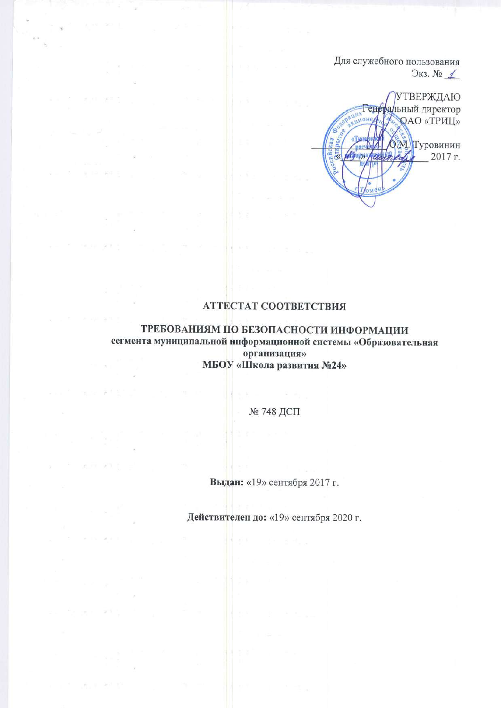Для служебного пользования  $\Im$ кз. №  $\angle$ 

**УТВЕРЖДАЮ** Генеральный директор **QAO** «TPHIL»  $\sqrt{AB}$ 0М. Туровинин CHH & 2017 г. **Fopysa** 

## **АТТЕСТАТ СООТВЕТСТВИЯ**

9.30

ТРЕБОВАНИЯМ ПО БЕЗОПАСНОСТИ ИНФОРМАЦИИ сегмента муниципальной информационной системы «Образовательная организация» МБОУ «Школа развития №24»

№ 748 ДСП

 $x + y = -1$  ,  $x + y$ 

Выдан: «19» сентября 2017 г.

Действителен до: «19» сентября 2020 г.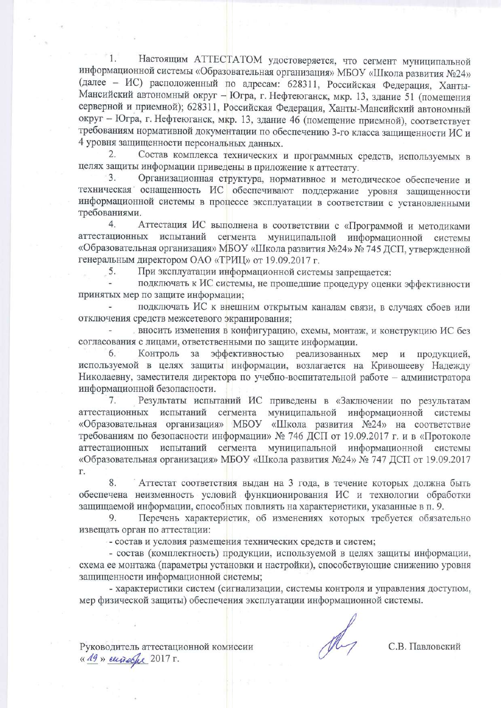Настоящим АТТЕСТАТОМ удостоверяется, что сегмент муниципальной 1. информационной системы «Образовательная организация» МБОУ «Школа развития №24» (далее - ИС) расположенный по адресам: 628311, Российская Федерация, Ханты-Мансийский автономный округ - Югра, г. Нефтеюганск, мкр. 13, здание 51 (помещения серверной и приемной); 628311, Российская Федерация, Ханты-Мансийский автономный округ - Югра, г. Нефтеюганск, мкр. 13, здание 46 (помещение приемной), соответствует требованиям нормативной документации по обеспечению 3-го класса защищенности ИС и 4 уровня защищенности персональных данных.

 $\overline{2}$ Состав комплекса технических и программных средств, используемых в целях защиты информации приведены в приложение к аттестату.

Организационная структура, нормативное и методическое обеспечение и техническая оснащенность ИС обеспечивают поддержание уровня защищенности информационной системы в процессе эксплуатации в соответствии с установленными требованиями.

Аттестация ИС выполнена в соответствии с «Программой и методиками  $4.$ аттестационных испытаний сегмента муниципальной информационной системы «Образовательная организация» МБОУ «Школа развития №24» № 745 ДСП, утвержденной генеральным директором ОАО «ТРИЦ» от 19.09.2017 г.

При эксплуатации информационной системы запрещается: 5.

подключать к ИС системы, не прошедшие процедуру оценки эффективности принятых мер по защите информации:

подключать ИС к внешним открытым каналам связи, в случаях сбоев или отключения средств межсетевого экранирования;

вносить изменения в конфигурацию, схемы, монтаж, и конструкцию ИС без согласования с лицами, ответственными по защите информации.

6. Контроль за эффективностью реализованных мер и продукцией, используемой в целях защиты информации, возлагается на Кривошееву Надежду Николаевну, заместителя директора по учебно-воспитательной работе - администратора информационной безопасности.

7. Результаты испытаний ИС приведены в «Заключении по результатам аттестационных испытаний сегмента муниципальной информационной системы «Образовательная организация» МБОУ «Школа развития №24» на соответствие требованиям по безопасности информации» № 746 ДСП от 19.09.2017 г. и в «Протоколе аттестационных испытаний сегмента муниципальной информационной системы «Образовательная организация» МБОУ «Школа развития №24» № 747 ДСП от 19.09.2017 Г.

8. Аттестат соответствия выдан на 3 года, в течение которых должна быть обеспечена неизменность условий функционирования ИС и технологии обработки защищаемой информации, способных повлиять на характеристики, указанные в п. 9.

Перечень характеристик, об изменениях которых требуется обязательно 9. извещать орган по аттестации:

- состав и условия размещения технических средств и систем;

- состав (комплектность) продукции, используемой в целях защиты информации, схема ее монтажа (параметры установки и настройки), способствующие снижению уровня защищенности информационной системы;

- характеристики систем (сигнализации, системы контроля и управления доступом, мер физической защиты) обеспечения эксплуатации информационной системы.

С.В. Павловский

Руководитель аттестационной комиссии « 19 » europe 2017 г.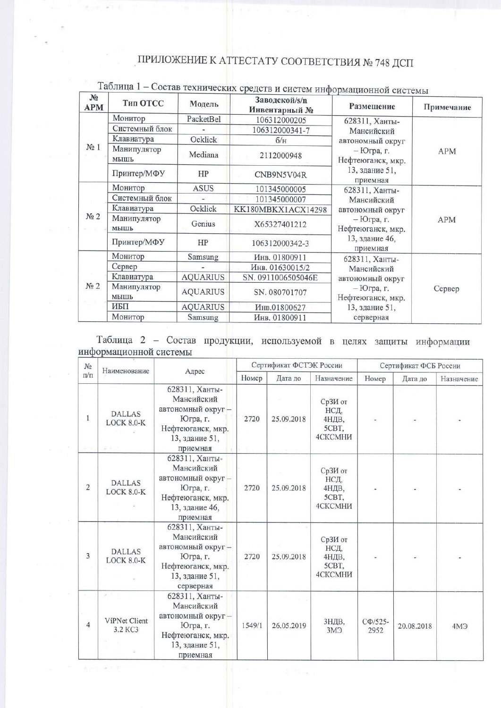## ПРИЛОЖЕНИЕ К АТТЕСТАТУ СООТВЕТСТВИЯ № 748 ДСП

| N <sub>2</sub><br><b>APM</b> | Тип ОТСС            | Модель                           | Заводской/s/n<br>Инвентарный № | Размещение                        | Примечание |  |  |
|------------------------------|---------------------|----------------------------------|--------------------------------|-----------------------------------|------------|--|--|
|                              | Монитор             | PacketBel                        | 106312000205                   | 628311, Ханты-                    |            |  |  |
| $N2$ 1                       | Системный блок      | 106312000341-7<br>Ocklick<br>6/H |                                | Мансийский                        |            |  |  |
|                              | Клавиатура          |                                  |                                | автономный округ                  |            |  |  |
|                              | Манипулятор<br>МЫШЬ | Mediana                          | 2112000948                     | – Югра, г.<br>Нефтеюганск, мкр.   | <b>APM</b> |  |  |
|                              | Принтер/МФУ         | HP                               | CNB9N5V04R                     | 13, здание 51,<br>приемная        |            |  |  |
|                              | Монитор             | <b>ASUS</b>                      | 101345000005                   | 628311, Ханты-                    |            |  |  |
|                              | Системный блок      |                                  | 101345000007                   | Мансийский                        |            |  |  |
|                              | Клавиатура          | Ocklick                          | KK180MBKX1ACX14298             | автономный округ                  |            |  |  |
| N <sub>2</sub>               | Манипулятор<br>МЫШЬ | Genius                           | X65327401212                   | $-$ Югра, г.<br>Нефтеюганск, мкр. | APM        |  |  |
|                              | Принтер/МФУ         | HP                               | 106312000342-3                 | 13, здание 46,<br>приемная        |            |  |  |
|                              | Монитор             | Samsung                          | Инв. 01800911                  | 628311, Ханты-                    |            |  |  |
| N <sub>2</sub>               | Сервер              |                                  | Инв. 01630015/2                | Мансийский                        |            |  |  |
|                              | Клавиатура          | <b>AQUARIUS</b>                  | SN. 0911006505046E             | автономный округ                  |            |  |  |
|                              | Манипулятор<br>МЫШЬ | <b>AQUARIUS</b>                  | SN. 080701707                  | – Югра, г.<br>Нефтеюганск, мкр.   | Сервер     |  |  |
|                              | ИБП                 | <b>AQUARIUS</b>                  | Инв.01800627                   | 13, здание 51,                    |            |  |  |
|                              | Монитор             | Samsung                          | Инв. 01800911                  | серверная                         |            |  |  |

## Таблица 1 - Состав технических средств и систем информационной системы

 $-16 - 16 = 16$ 

6,75,905.85

Таблица 2 - Состав продукции, используемой в целях защиты информации информационной системы

| No<br>Наименование<br>$\Pi/\Pi$ |                                    |                                                                                                                   |        | Сертификат ФСТЭК России |                                              | Сертификат ФСБ России |            |            |
|---------------------------------|------------------------------------|-------------------------------------------------------------------------------------------------------------------|--------|-------------------------|----------------------------------------------|-----------------------|------------|------------|
|                                 |                                    | Адрес                                                                                                             | Номер  | Дата до                 | Назначение                                   | Номер                 | Дата до    | Назначение |
| 1                               | <b>DALLAS</b><br>LOCK 8.0-K<br>送信日 | 628311, Ханты-<br>Мансийский<br>автономный округ-<br>Югра, г.<br>Нефтеюганск, мкр.<br>13, здание 51,<br>приемная  | 2720   | 25.09.2018              | СрЗИ от<br>НСД,<br>4НДВ,<br>5CBT,<br>4СКСМНИ |                       |            |            |
| $\overline{c}$                  | <b>DALLAS</b><br>LOCK 8.0-K        | 628311, Ханты-<br>Мансийский<br>автономный округ -<br>Югра, г.<br>Нефтеюганск, мкр.<br>13, здание 46,<br>приемная | 2720   | 25.09.2018              | СрЗИ от<br>НСД,<br>4НДВ,<br>5CBT.<br>4СКСМНИ |                       |            |            |
| 3                               | <b>DALLAS</b><br>LOCK 8.0-K        | 628311, Ханты-<br>Мансийский<br>автономный округ-<br>Югра, г.<br>Нефтеюганск, мкр.<br>13, здание 51,<br>серверная | 2720   | 25.09.2018              | СрЗИ от<br>НСД,<br>4НДВ,<br>5CBT,<br>4СКСМНИ |                       |            |            |
| $\overline{4}$                  | ViPNet Client<br>3.2 KC3           | 628311, Ханты-<br>Мансийский<br>автономный округ-<br>Югра, г.<br>Нефтеюганск, мкр.<br>13, здание 51,<br>приемная  | 1549/1 | 26.05.2019              | ЗНДВ,<br>3M <sup>3</sup>                     | $C\Phi/525$ -<br>2952 | 20.08.2018 | 4МЭ        |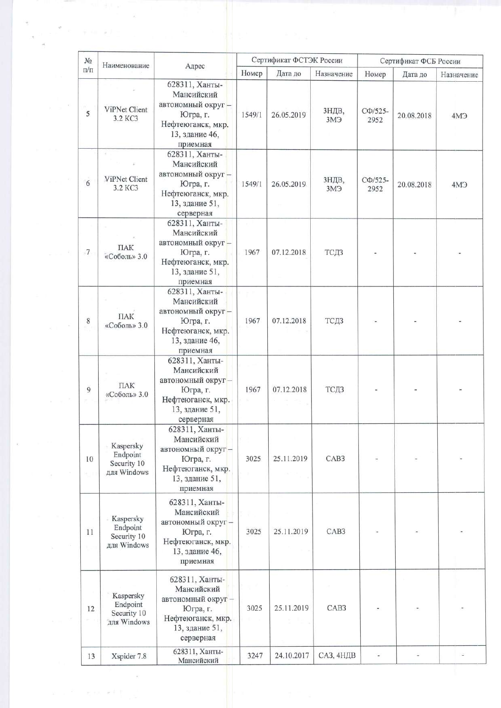| Адрес<br>$\Pi/\Pi$<br>Номер<br>Дата до<br>Назначение<br>Номер<br>Дата до<br>628311, Ханты-<br>Мансийский<br>автономный округ-<br>ViPNet Client<br>ЗНДВ,<br>$C\Phi/525-$<br>5<br>Югра, г.<br>1549/1<br>26.05.2019<br>20.08.2018<br>3.2 KC3<br>3M <sup>3</sup><br>2952<br>Нефтеюганск, мкр.<br>13, здание 46,<br>приемная<br>628311, Ханты-<br>$\frac{1}{2}$<br>Мансийский<br>автономный округ-<br>ViPNet Client<br>ЗНДВ,<br>$C\Phi/525$ -<br>6<br>Югра, г.<br>1549/1<br>26.05.2019<br>20.08.2018<br>3.2 KC3<br>3M <sup>3</sup><br>2952<br>Нефтеюганск, мкр.<br>13, здание 51,<br>серверная<br>628311, Ханты-<br>Мансийский<br>автономный округ-<br>$\Pi$ AK<br>$\overline{7}$<br>Югра, г.<br>1967<br>07.12.2018<br>ТСДЗ<br>«Соболь» 3.0<br>Нефтеюганск, мкр.<br>13, здание 51,<br>приемная<br>628311, Ханты-<br>Мансийский<br>автономный округ-<br><b>TIAK</b><br>$\,$ 8 $\,$<br>Югра, г.<br>1967<br>07.12.2018<br>ТСДЗ<br>«Соболь» 3.0<br>Нефтеюганск, мкр.<br>13, здание 46,<br>приемная<br>628311, Ханты-<br>Мансийский<br>автономный округ-<br>ПАК<br>9<br>ТСДЗ<br>Югра, г.<br>1967<br>07.12.2018<br>«Соболь» 3.0<br>Нефтеюганск, мкр.<br>13, здание 51,<br>серверная<br>628311, Ханты-<br>Мансийский<br>Kaspersky<br>автономный округ-<br>Endpoint<br>CAB <sub>3</sub><br>Югра, г.<br>3025<br>25.11.2019<br>10<br>Security 10<br>Нефтеюганск, мкр.<br>для Windows<br>RU<br>13, здание 51,<br>приемная<br>628311, Ханты-<br>Мансийский<br>Kaspersky<br>автономный округ -<br>Endpoint<br>CAB <sub>3</sub><br>3025<br>25.11.2019<br>11<br>Югра, г.<br>Security 10<br>Нефтеюганск, мкр.<br>для Windows<br>13, здание 46,<br>приемная<br>628311, Ханты-<br>Мансийский<br>Kaspersky<br>автономный округ -<br>Endpoint<br>3025<br>25.11.2019<br>CAB <sub>3</sub><br>12<br>Югра, г.<br>Security 10 | $N_2$<br>Наименование |  |                   | Сертификат ФСТЭК России |  |  | Сертификат ФСБ России |  |                 |
|-------------------------------------------------------------------------------------------------------------------------------------------------------------------------------------------------------------------------------------------------------------------------------------------------------------------------------------------------------------------------------------------------------------------------------------------------------------------------------------------------------------------------------------------------------------------------------------------------------------------------------------------------------------------------------------------------------------------------------------------------------------------------------------------------------------------------------------------------------------------------------------------------------------------------------------------------------------------------------------------------------------------------------------------------------------------------------------------------------------------------------------------------------------------------------------------------------------------------------------------------------------------------------------------------------------------------------------------------------------------------------------------------------------------------------------------------------------------------------------------------------------------------------------------------------------------------------------------------------------------------------------------------------------------------------------------------------------------------------------------------------------------------------------------------|-----------------------|--|-------------------|-------------------------|--|--|-----------------------|--|-----------------|
|                                                                                                                                                                                                                                                                                                                                                                                                                                                                                                                                                                                                                                                                                                                                                                                                                                                                                                                                                                                                                                                                                                                                                                                                                                                                                                                                                                                                                                                                                                                                                                                                                                                                                                                                                                                                 |                       |  |                   |                         |  |  |                       |  | Назначение      |
|                                                                                                                                                                                                                                                                                                                                                                                                                                                                                                                                                                                                                                                                                                                                                                                                                                                                                                                                                                                                                                                                                                                                                                                                                                                                                                                                                                                                                                                                                                                                                                                                                                                                                                                                                                                                 |                       |  |                   |                         |  |  |                       |  | 4M <sup>3</sup> |
|                                                                                                                                                                                                                                                                                                                                                                                                                                                                                                                                                                                                                                                                                                                                                                                                                                                                                                                                                                                                                                                                                                                                                                                                                                                                                                                                                                                                                                                                                                                                                                                                                                                                                                                                                                                                 |                       |  |                   |                         |  |  |                       |  | AM <sup>3</sup> |
|                                                                                                                                                                                                                                                                                                                                                                                                                                                                                                                                                                                                                                                                                                                                                                                                                                                                                                                                                                                                                                                                                                                                                                                                                                                                                                                                                                                                                                                                                                                                                                                                                                                                                                                                                                                                 |                       |  |                   |                         |  |  |                       |  |                 |
|                                                                                                                                                                                                                                                                                                                                                                                                                                                                                                                                                                                                                                                                                                                                                                                                                                                                                                                                                                                                                                                                                                                                                                                                                                                                                                                                                                                                                                                                                                                                                                                                                                                                                                                                                                                                 |                       |  |                   |                         |  |  |                       |  |                 |
|                                                                                                                                                                                                                                                                                                                                                                                                                                                                                                                                                                                                                                                                                                                                                                                                                                                                                                                                                                                                                                                                                                                                                                                                                                                                                                                                                                                                                                                                                                                                                                                                                                                                                                                                                                                                 |                       |  |                   |                         |  |  |                       |  |                 |
|                                                                                                                                                                                                                                                                                                                                                                                                                                                                                                                                                                                                                                                                                                                                                                                                                                                                                                                                                                                                                                                                                                                                                                                                                                                                                                                                                                                                                                                                                                                                                                                                                                                                                                                                                                                                 |                       |  |                   |                         |  |  |                       |  |                 |
|                                                                                                                                                                                                                                                                                                                                                                                                                                                                                                                                                                                                                                                                                                                                                                                                                                                                                                                                                                                                                                                                                                                                                                                                                                                                                                                                                                                                                                                                                                                                                                                                                                                                                                                                                                                                 |                       |  |                   |                         |  |  |                       |  |                 |
| для Windows<br>13, здание 51,<br>серверная                                                                                                                                                                                                                                                                                                                                                                                                                                                                                                                                                                                                                                                                                                                                                                                                                                                                                                                                                                                                                                                                                                                                                                                                                                                                                                                                                                                                                                                                                                                                                                                                                                                                                                                                                      |                       |  | Нефтеюганск, мкр. |                         |  |  |                       |  |                 |

 $\frac{1}{2}$ 

 $\frac{1}{2}$ 

 $\mathbf{v} \rightarrow \mathbf{F}$  , is set  $\mathbf{F}$  , is

 $\mathcal{R}^{\mathcal{C}}$